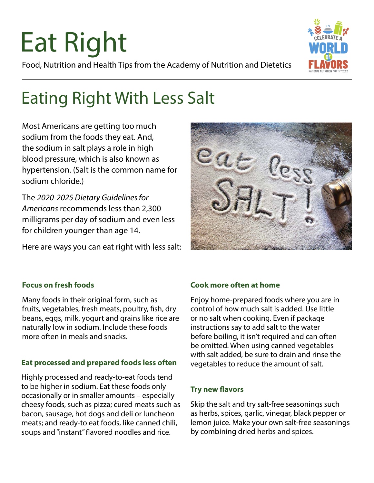## Eat Right Food, Nutrition and Health Tips from the Academy of Nutrition and Dietetics



## Eating Right With Less Salt

Most Americans are getting too much sodium from the foods they eat. And, the sodium in salt plays a role in high blood pressure, which is also known as hypertension. (Salt is the common name for sodium chloride.)

The *2020-2025 Dietary Guidelines for Americans* recommends less than 2,300 milligrams per day of sodium and even less for children younger than age 14.

Here are ways you can eat right with less salt:



#### **Focus on fresh foods**

Many foods in their original form, such as fruits, vegetables, fresh meats, poultry, fish, dry beans, eggs, milk, yogurt and grains like rice are naturally low in sodium. Include these foods more often in meals and snacks.

#### **Eat processed and prepared foods less often**

Highly processed and ready-to-eat foods tend to be higher in sodium. Eat these foods only occasionally or in smaller amounts – especially cheesy foods, such as pizza; cured meats such as bacon, sausage, hot dogs and deli or luncheon meats; and ready-to eat foods, like canned chili, soups and "instant" flavored noodles and rice.

#### **Cook more often at home**

Enjoy home-prepared foods where you are in control of how much salt is added. Use little or no salt when cooking. Even if package instructions say to add salt to the water before boiling, it isn't required and can often be omitted. When using canned vegetables with salt added, be sure to drain and rinse the vegetables to reduce the amount of salt.

#### **Try new flavors**

Skip the salt and try salt-free seasonings such as herbs, spices, garlic, vinegar, black pepper or lemon juice. Make your own salt-free seasonings by combining dried herbs and spices.